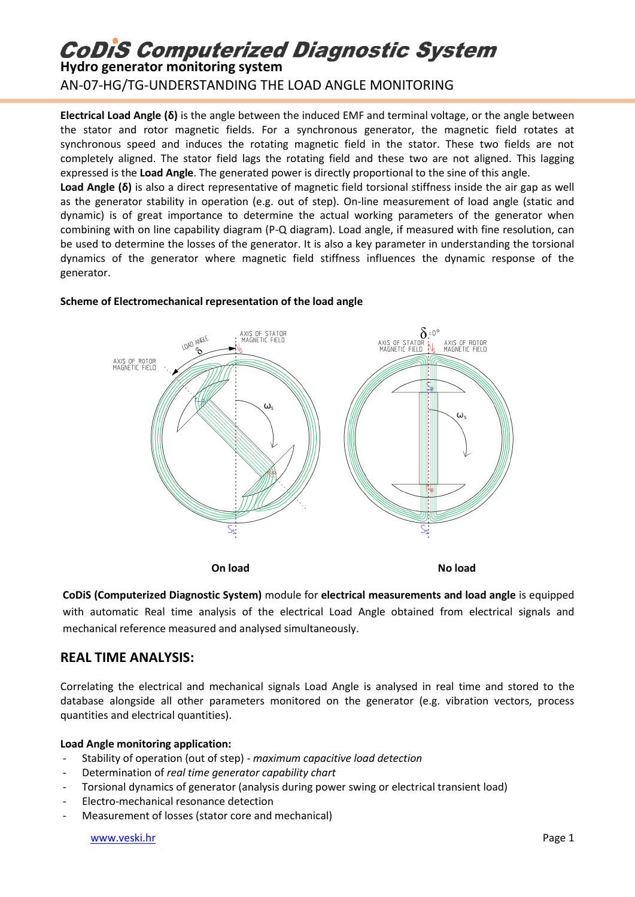## **CoDiS Computerized Diagnostic System**

**Hydro generator monitoring system**

AN-07-HG/TG-UNDERSTANDING THE LOAD ANGLE MONITORING

**Electrical Load Angle (δ)** is the angle between the induced EMF and terminal voltage, or the angle between the stator and rotor magnetic fields. For a synchronous generator, the magnetic field rotates at synchronous speed and induces the rotating magnetic field in the stator. These two fields are not completely aligned. The stator field lags the rotating field and these two are not aligned. This lagging expressed is the **Load Angle**. The generated power is directly proportional to the sine of this angle.

**Load Angle (δ)** is also a direct representative of magnetic field torsional stiffness inside the air gap as well as the generator stability in operation (e.g. out of step). On-line measurement of load angle (static and dynamic) is of great importance to determine the actual working parameters of the generator when combining with on line capability diagram (P-Q diagram). Load angle, if measured with fine resolution, can be used to determine the losses of the generator. It is also a key parameter in understanding the torsional dynamics of the generator where magnetic field stiffness influences the dynamic response of the generator.



#### **Scheme of Electromechanical representation of the load angle**

**On load No load**

**CoDiS (Computerized Diagnostic System)** module for **electrical measurements and load angle** is equipped with automatic Real time analysis of the electrical Load Angle obtained from electrical signals and mechanical reference measured and analysed simultaneously.

### **REAL TIME ANALYSIS:**

Correlating the electrical and mechanical signals Load Angle is analysed in real time and stored to the database alongside all other parameters monitored on the generator (e.g. vibration vectors, process quantities and electrical quantities).

#### **Load Angle monitoring application:**

- Stability of operation (out of step) *maximum capacitive load detection*
- Determination of *real time generator capability chart*
- Torsional dynamics of generator (analysis during power swing or electrical transient load)
- Electro-mechanical resonance detection
- Measurement of losses (stator core and mechanical)